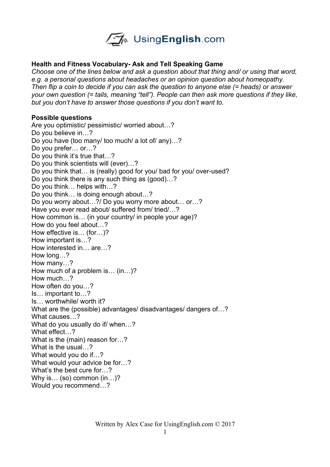

## **Health and Fitness Vocabulary- Ask and Tell Speaking Game**

*Choose one of the lines below and ask a question about that thing and/ or using that word, e.g. a personal questions about headaches or an opinion question about homeopathy. Then flip a coin to decide if you can ask the question to anyone else (= heads) or answer your own question (= tails, meaning "tell"). People can then ask more questions if they like, but you don't have to answer those questions if you don't want to.* 

### **Possible questions**

Are you optimistic/ pessimistic/ worried about…? Do you believe in…? Do you have (too many/ too much/ a lot of/ any)…? Do you prefer… or…? Do you think it's true that…? Do you think scientists will (ever)…? Do you think that… is (really) good for you/ bad for you/ over-used? Do you think there is any such thing as (good)…? Do you think… helps with…? Do you think… is doing enough about…? Do you worry about…?/ Do you worry more about… or…? Have you ever read about/ suffered from/ tried/…? How common is… (in your country/ in people your age)? How do you feel about…? How effective is… (for…)? How important is…? How interested in… are…? How long…? How many…? How much of a problem is… (in…)? How much…? How often do you…? Is… important to…? Is… worthwhile/ worth it? What are the (possible) advantages/ disadvantages/ dangers of…? What causes…? What do you usually do if/ when…? What effect…? What is the (main) reason for…? What is the usual…? What would you do if…? What would your advice be for…? What's the best cure for…? Why is… (so) common (in…)? Would you recommend…?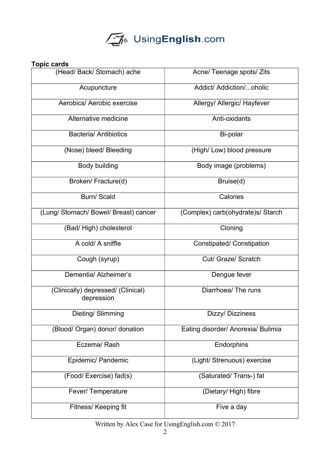

## **Topic cards**

| (Head/ Back/ Stomach) ache                       | Acne/ Teenage spots/ Zits          |
|--------------------------------------------------|------------------------------------|
| Acupuncture                                      | Addict/ Addiction/oholic           |
| Aerobics/ Aerobic exercise                       | Allergy/ Allergic/ Hayfever        |
| Alternative medicine                             | Anti-oxidants                      |
| <b>Bacteria/ Antibiotics</b>                     | Bi-polar                           |
| (Nose) bleed/ Bleeding                           | (High/Low) blood pressure          |
| <b>Body building</b>                             | Body image (problems)              |
| Broken/ Fracture(d)                              | Bruise(d)                          |
| <b>Burn/Scald</b>                                | Calories                           |
| (Lung/ Stomach/ Bowel/ Breast) cancer            | (Complex) carb(ohydrate)s/ Starch  |
| (Bad/High) cholesterol                           | Cloning                            |
| A cold/ A sniffle                                | <b>Constipated/ Constipation</b>   |
| Cough (syrup)                                    | Cut/ Graze/ Scratch                |
| Dementia/ Alzheimer's                            | Dengue fever                       |
| (Clinically) depressed/ (Clinical)<br>depression | Diarrhoea/ The runs                |
| Dieting/Slimming                                 | Dizzy/ Dizziness                   |
| (Blood/ Organ) donor/ donation                   | Eating disorder/ Anorexia/ Bulimia |
| Eczema/Rash                                      | Endorphins                         |
| Epidemic/ Pandemic                               | (Light/ Strenuous) exercise        |
| (Food/ Exercise) fad(s)                          | (Saturated/Trans-) fat             |
| Fever/ Temperature                               | (Dietary/High) fibre               |
| Fitness/ Keeping fit                             | Five a day                         |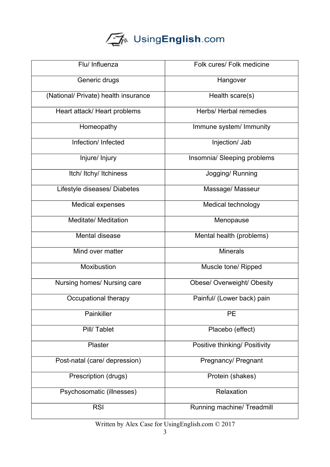# UsingEnglish.com

| Flu/ Influenza                       | Folk cures/ Folk medicine     |
|--------------------------------------|-------------------------------|
| Generic drugs                        | Hangover                      |
| (National/ Private) health insurance | Health scare(s)               |
| Heart attack/ Heart problems         | Herbs/ Herbal remedies        |
| Homeopathy                           | Immune system/ Immunity       |
| Infection/ Infected                  | Injection/ Jab                |
| Injure/ Injury                       | Insomnia/ Sleeping problems   |
| Itch/ Itchy/ Itchiness               | Jogging/Running               |
| Lifestyle diseases/ Diabetes         | Massage/ Masseur              |
| Medical expenses                     | Medical technology            |
| <b>Meditate/ Meditation</b>          | Menopause                     |
| Mental disease                       | Mental health (problems)      |
| Mind over matter                     | <b>Minerals</b>               |
| Moxibustion                          | Muscle tone/ Ripped           |
| Nursing homes/ Nursing care          | Obese/ Overweight/ Obesity    |
| Occupational therapy                 | Painful/ (Lower back) pain    |
| Painkiller                           | <b>PE</b>                     |
| Pill/Tablet                          | Placebo (effect)              |
| Plaster                              | Positive thinking/ Positivity |
| Post-natal (care/ depression)        | Pregnancy/ Pregnant           |
| Prescription (drugs)                 | Protein (shakes)              |
| Psychosomatic (illnesses)            | Relaxation                    |
| <b>RSI</b>                           | Running machine/ Treadmill    |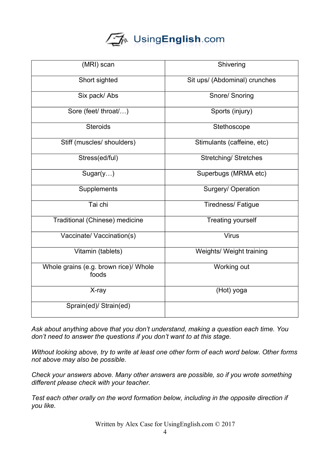## └ୖ୕∕ि UsingEnglish.com

| (MRI) scan                                     | Shivering                     |
|------------------------------------------------|-------------------------------|
| Short sighted                                  | Sit ups/ (Abdominal) crunches |
| Six pack/ Abs                                  | Snore/ Snoring                |
| Sore (feet/ throat/)                           | Sports (injury)               |
| <b>Steroids</b>                                | Stethoscope                   |
| Stiff (muscles/ shoulders)                     | Stimulants (caffeine, etc)    |
| Stress(ed/ful)                                 | <b>Stretching/ Stretches</b>  |
| Sugar(y)                                       | Superbugs (MRMA etc)          |
| Supplements                                    | Surgery/ Operation            |
| Tai chi                                        | <b>Tiredness/ Fatigue</b>     |
| Traditional (Chinese) medicine                 | <b>Treating yourself</b>      |
| Vaccinate/ Vaccination(s)                      | <b>Virus</b>                  |
| Vitamin (tablets)                              | Weights/ Weight training      |
| Whole grains (e.g. brown rice)/ Whole<br>foods | Working out                   |
| X-ray                                          | (Hot) yoga                    |
| Sprain(ed)/ Strain(ed)                         |                               |

*Ask about anything above that you don't understand, making a question each time. You don't need to answer the questions if you don't want to at this stage.*

*Without looking above, try to write at least one other form of each word below. Other forms not above may also be possible.* 

*Check your answers above. Many other answers are possible, so if you wrote something different please check with your teacher.* 

*Test each other orally on the word formation below, including in the opposite direction if you like.*